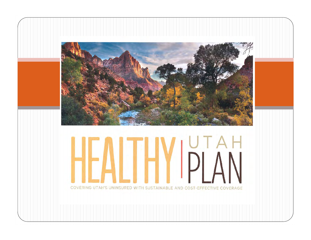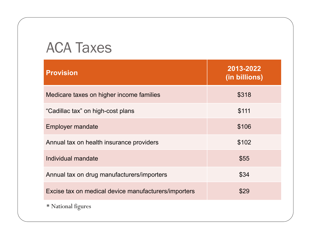### ACA Taxes

| <b>Provision</b>                                     | 2013-2022<br>(in billions) |
|------------------------------------------------------|----------------------------|
| Medicare taxes on higher income families             | \$318                      |
| "Cadillac tax" on high-cost plans                    | \$111                      |
| <b>Employer mandate</b>                              | \$106                      |
| Annual tax on health insurance providers             | \$102                      |
| Individual mandate                                   | \$55                       |
| Annual tax on drug manufacturers/importers           | \$34                       |
| Excise tax on medical device manufacturers/importers | \$29                       |
| * National figures                                   |                            |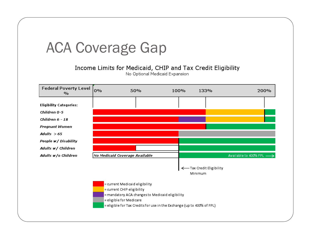## ACA Coverage Gap

Income Limits for Medicaid, CHIP and Tax Credit Eligibility

No Optional Medicaid Expansion

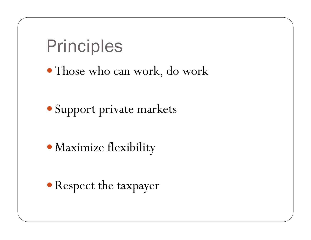## Principles

Those who can work, do work

- Support private markets
- Maximize flexibility

Respect the taxpayer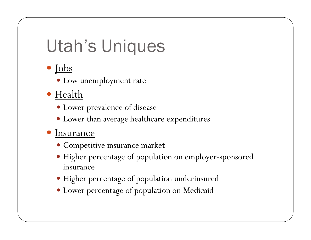# Utah's Uniques

- Jobs
	- Low unemployment rate
- Health
	- Lower prevalence of disease
	- Lower than average healthcare expenditures

#### Insurance

- Competitive insurance market
- Higher percentage of population on employer-sponsored insurance
- Higher percentage of population underinsured
- Lower percentage of population on Medicaid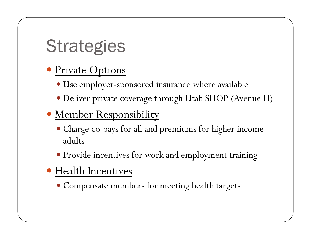# **Strategies**

- Private Options
	- Use employer-sponsored insurance where available
	- Deliver private coverage through Utah SHOP (Avenue H)
- Member Responsibility
	- Charge co-pays for all and premiums for higher income adults
	- Provide incentives for work and employment training
- Health Incentives
	- Compensate members for meeting health targets